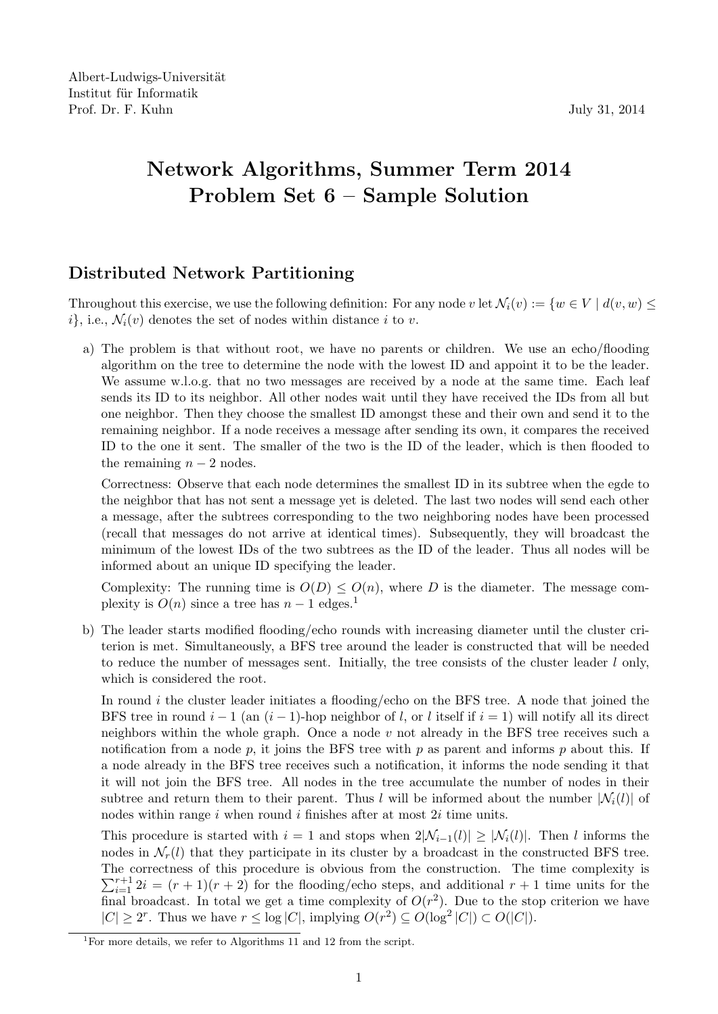## Network Algorithms, Summer Term 2014 Problem Set 6 – Sample Solution

## Distributed Network Partitioning

Throughout this exercise, we use the following definition: For any node v let  $\mathcal{N}_i(v) := \{w \in V \mid d(v, w) \leq$  $i$ , i.e.,  $\mathcal{N}_i(v)$  denotes the set of nodes within distance i to v.

a) The problem is that without root, we have no parents or children. We use an echo/flooding algorithm on the tree to determine the node with the lowest ID and appoint it to be the leader. We assume w.l.o.g. that no two messages are received by a node at the same time. Each leaf sends its ID to its neighbor. All other nodes wait until they have received the IDs from all but one neighbor. Then they choose the smallest ID amongst these and their own and send it to the remaining neighbor. If a node receives a message after sending its own, it compares the received ID to the one it sent. The smaller of the two is the ID of the leader, which is then flooded to the remaining  $n-2$  nodes.

Correctness: Observe that each node determines the smallest ID in its subtree when the egde to the neighbor that has not sent a message yet is deleted. The last two nodes will send each other a message, after the subtrees corresponding to the two neighboring nodes have been processed (recall that messages do not arrive at identical times). Subsequently, they will broadcast the minimum of the lowest IDs of the two subtrees as the ID of the leader. Thus all nodes will be informed about an unique ID specifying the leader.

Complexity: The running time is  $O(D) \leq O(n)$ , where D is the diameter. The message complexity is  $O(n)$  since a tree has  $n-1$  edges.<sup>1</sup>

b) The leader starts modified flooding/echo rounds with increasing diameter until the cluster criterion is met. Simultaneously, a BFS tree around the leader is constructed that will be needed to reduce the number of messages sent. Initially, the tree consists of the cluster leader l only, which is considered the root.

In round  $i$  the cluster leader initiates a flooding/echo on the BFS tree. A node that joined the BFS tree in round  $i-1$  (an  $(i-1)$ -hop neighbor of l, or l itself if  $i = 1$ ) will notify all its direct neighbors within the whole graph. Once a node  $v$  not already in the BFS tree receives such a notification from a node p, it joins the BFS tree with p as parent and informs p about this. If a node already in the BFS tree receives such a notification, it informs the node sending it that it will not join the BFS tree. All nodes in the tree accumulate the number of nodes in their subtree and return them to their parent. Thus l will be informed about the number  $|\mathcal{N}_i(l)|$  of nodes within range  $i$  when round  $i$  finishes after at most  $2i$  time units.

This procedure is started with  $i = 1$  and stops when  $2|\mathcal{N}_{i-1}(l)| \geq |\mathcal{N}_i(l)|$ . Then l informs the nodes in  $\mathcal{N}_r(l)$  that they participate in its cluster by a broadcast in the constructed BFS tree. The correctness of this procedure is obvious from the construction. The time complexity is  $\sum_{i=1}^{r+1} 2i = (r+1)(r+2)$  for the flooding/echo steps, and additional  $r+1$  time units for the final broadcast. In total we get a time complexity of  $O(r^2)$ . Due to the stop criterion we have  $|C| \ge 2^r$ . Thus we have  $r \le \log |C|$ , implying  $O(r^2) \subseteq O(\log^2 |C|) \subset O(|C|)$ .

<sup>&</sup>lt;sup>1</sup>For more details, we refer to Algorithms  $11$  and  $12$  from the script.